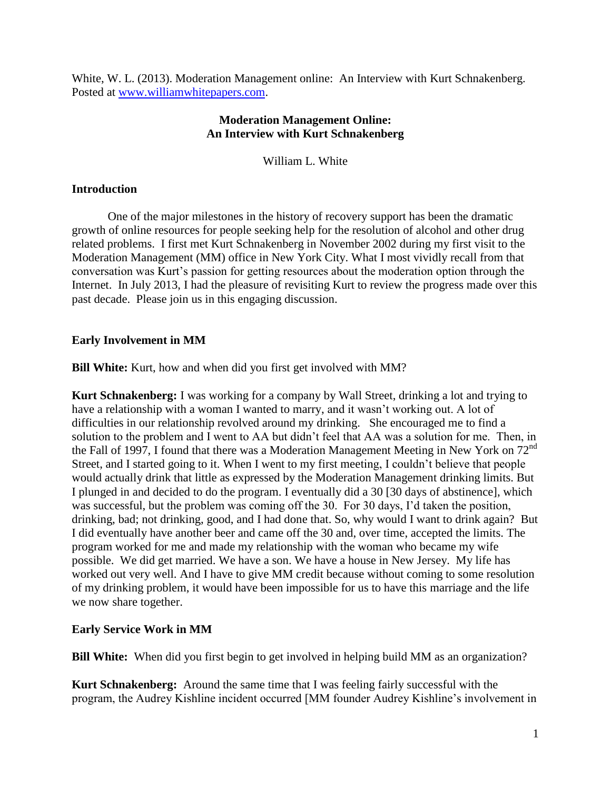White, W. L. (2013). Moderation Management online: An Interview with Kurt Schnakenberg. Posted at [www.williamwhitepapers.com.](http://www.williamwhitepapers.com/)

## **Moderation Management Online: An Interview with Kurt Schnakenberg**

William L. White

### **Introduction**

One of the major milestones in the history of recovery support has been the dramatic growth of online resources for people seeking help for the resolution of alcohol and other drug related problems. I first met Kurt Schnakenberg in November 2002 during my first visit to the Moderation Management (MM) office in New York City. What I most vividly recall from that conversation was Kurt's passion for getting resources about the moderation option through the Internet. In July 2013, I had the pleasure of revisiting Kurt to review the progress made over this past decade. Please join us in this engaging discussion.

## **Early Involvement in MM**

**Bill White:** Kurt, how and when did you first get involved with MM?

**Kurt Schnakenberg:** I was working for a company by Wall Street, drinking a lot and trying to have a relationship with a woman I wanted to marry, and it wasn't working out. A lot of difficulties in our relationship revolved around my drinking. She encouraged me to find a solution to the problem and I went to AA but didn't feel that AA was a solution for me. Then, in the Fall of 1997, I found that there was a Moderation Management Meeting in New York on 72<sup>nd</sup> Street, and I started going to it. When I went to my first meeting, I couldn't believe that people would actually drink that little as expressed by the Moderation Management drinking limits. But I plunged in and decided to do the program. I eventually did a 30 [30 days of abstinence], which was successful, but the problem was coming off the 30. For 30 days, I'd taken the position, drinking, bad; not drinking, good, and I had done that. So, why would I want to drink again? But I did eventually have another beer and came off the 30 and, over time, accepted the limits. The program worked for me and made my relationship with the woman who became my wife possible. We did get married. We have a son. We have a house in New Jersey. My life has worked out very well. And I have to give MM credit because without coming to some resolution of my drinking problem, it would have been impossible for us to have this marriage and the life we now share together.

### **Early Service Work in MM**

**Bill White:** When did you first begin to get involved in helping build MM as an organization?

**Kurt Schnakenberg:** Around the same time that I was feeling fairly successful with the program, the Audrey Kishline incident occurred [MM founder Audrey Kishline's involvement in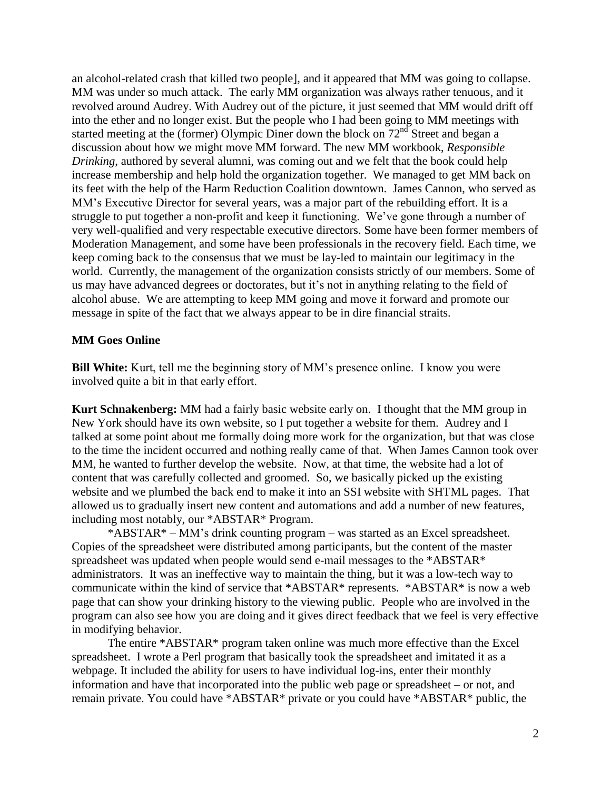an alcohol-related crash that killed two people], and it appeared that MM was going to collapse. MM was under so much attack. The early MM organization was always rather tenuous, and it revolved around Audrey. With Audrey out of the picture, it just seemed that MM would drift off into the ether and no longer exist. But the people who I had been going to MM meetings with started meeting at the (former) Olympic Diner down the block on  $72<sup>nd</sup>$  Street and began a discussion about how we might move MM forward. The new MM workbook, *Responsible Drinking*, authored by several alumni, was coming out and we felt that the book could help increase membership and help hold the organization together. We managed to get MM back on its feet with the help of the Harm Reduction Coalition downtown. James Cannon, who served as MM's Executive Director for several years, was a major part of the rebuilding effort. It is a struggle to put together a non-profit and keep it functioning. We've gone through a number of very well-qualified and very respectable executive directors. Some have been former members of Moderation Management, and some have been professionals in the recovery field. Each time, we keep coming back to the consensus that we must be lay-led to maintain our legitimacy in the world. Currently, the management of the organization consists strictly of our members. Some of us may have advanced degrees or doctorates, but it's not in anything relating to the field of alcohol abuse. We are attempting to keep MM going and move it forward and promote our message in spite of the fact that we always appear to be in dire financial straits.

#### **MM Goes Online**

**Bill White:** Kurt, tell me the beginning story of MM's presence online. I know you were involved quite a bit in that early effort.

**Kurt Schnakenberg:** MM had a fairly basic website early on. I thought that the MM group in New York should have its own website, so I put together a website for them. Audrey and I talked at some point about me formally doing more work for the organization, but that was close to the time the incident occurred and nothing really came of that. When James Cannon took over MM, he wanted to further develop the website. Now, at that time, the website had a lot of content that was carefully collected and groomed. So, we basically picked up the existing website and we plumbed the back end to make it into an SSI website with SHTML pages. That allowed us to gradually insert new content and automations and add a number of new features, including most notably, our \*ABSTAR\* Program.

\*ABSTAR\* – MM's drink counting program – was started as an Excel spreadsheet. Copies of the spreadsheet were distributed among participants, but the content of the master spreadsheet was updated when people would send e-mail messages to the \*ABSTAR\* administrators. It was an ineffective way to maintain the thing, but it was a low-tech way to communicate within the kind of service that \*ABSTAR\* represents. \*ABSTAR\* is now a web page that can show your drinking history to the viewing public. People who are involved in the program can also see how you are doing and it gives direct feedback that we feel is very effective in modifying behavior.

The entire \*ABSTAR\* program taken online was much more effective than the Excel spreadsheet. I wrote a Perl program that basically took the spreadsheet and imitated it as a webpage. It included the ability for users to have individual log-ins, enter their monthly information and have that incorporated into the public web page or spreadsheet – or not, and remain private. You could have \*ABSTAR\* private or you could have \*ABSTAR\* public, the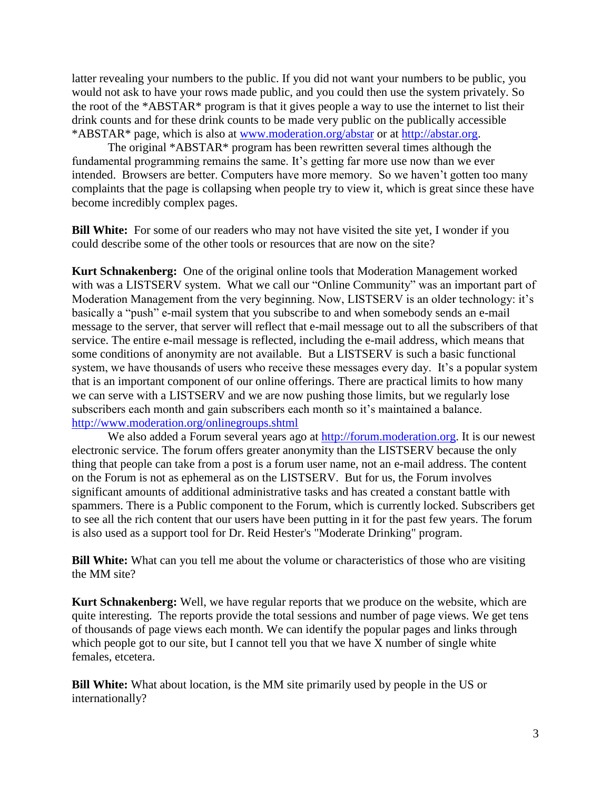latter revealing your numbers to the public. If you did not want your numbers to be public, you would not ask to have your rows made public, and you could then use the system privately. So the root of the \*ABSTAR\* program is that it gives people a way to use the internet to list their drink counts and for these drink counts to be made very public on the publically accessible \*ABSTAR\* page, which is also at [www.moderation.org/abstar](http://www.moderation.org/abstar) or at [http://abstar.org.](http://abstar.org/)

The original \*ABSTAR\* program has been rewritten several times although the fundamental programming remains the same. It's getting far more use now than we ever intended. Browsers are better. Computers have more memory. So we haven't gotten too many complaints that the page is collapsing when people try to view it, which is great since these have become incredibly complex pages.

**Bill White:** For some of our readers who may not have visited the site yet, I wonder if you could describe some of the other tools or resources that are now on the site?

**Kurt Schnakenberg:** One of the original online tools that Moderation Management worked with was a LISTSERV system. What we call our "Online Community" was an important part of Moderation Management from the very beginning. Now, LISTSERV is an older technology: it's basically a "push" e-mail system that you subscribe to and when somebody sends an e-mail message to the server, that server will reflect that e-mail message out to all the subscribers of that service. The entire e-mail message is reflected, including the e-mail address, which means that some conditions of anonymity are not available. But a LISTSERV is such a basic functional system, we have thousands of users who receive these messages every day. It's a popular system that is an important component of our online offerings. There are practical limits to how many we can serve with a LISTSERV and we are now pushing those limits, but we regularly lose subscribers each month and gain subscribers each month so it's maintained a balance. <http://www.moderation.org/onlinegroups.shtml>

We also added a Forum several years ago at [http://forum.moderation.org.](http://forum.moderation.org/) It is our newest electronic service. The forum offers greater anonymity than the LISTSERV because the only thing that people can take from a post is a forum user name, not an e-mail address. The content on the Forum is not as ephemeral as on the LISTSERV. But for us, the Forum involves significant amounts of additional administrative tasks and has created a constant battle with spammers. There is a Public component to the Forum, which is currently locked. Subscribers get to see all the rich content that our users have been putting in it for the past few years. The forum is also used as a support tool for Dr. Reid Hester's "Moderate Drinking" program.

**Bill White:** What can you tell me about the volume or characteristics of those who are visiting the MM site?

**Kurt Schnakenberg:** Well, we have regular reports that we produce on the website, which are quite interesting. The reports provide the total sessions and number of page views. We get tens of thousands of page views each month. We can identify the popular pages and links through which people got to our site, but I cannot tell you that we have X number of single white females, etcetera.

**Bill White:** What about location, is the MM site primarily used by people in the US or internationally?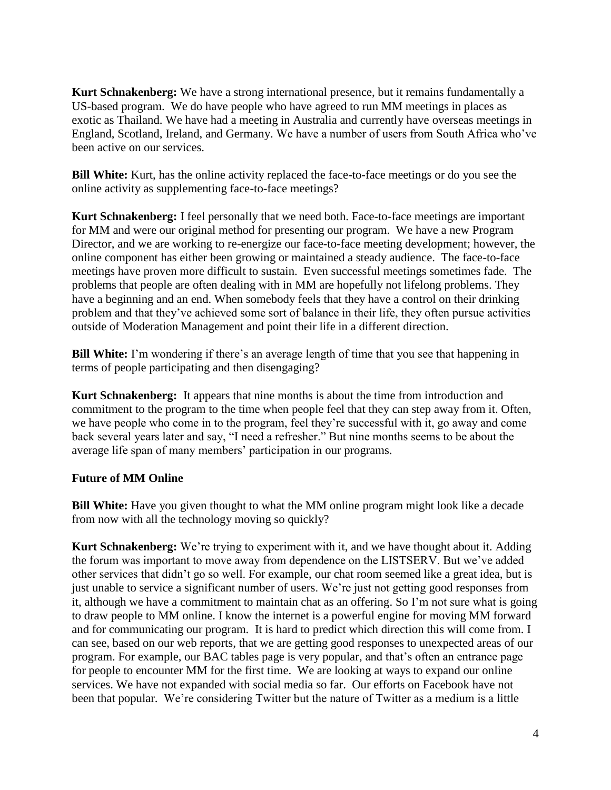**Kurt Schnakenberg:** We have a strong international presence, but it remains fundamentally a US-based program. We do have people who have agreed to run MM meetings in places as exotic as Thailand. We have had a meeting in Australia and currently have overseas meetings in England, Scotland, Ireland, and Germany. We have a number of users from South Africa who've been active on our services.

**Bill White:** Kurt, has the online activity replaced the face-to-face meetings or do you see the online activity as supplementing face-to-face meetings?

**Kurt Schnakenberg:** I feel personally that we need both. Face-to-face meetings are important for MM and were our original method for presenting our program. We have a new Program Director, and we are working to re-energize our face-to-face meeting development; however, the online component has either been growing or maintained a steady audience. The face-to-face meetings have proven more difficult to sustain. Even successful meetings sometimes fade. The problems that people are often dealing with in MM are hopefully not lifelong problems. They have a beginning and an end. When somebody feels that they have a control on their drinking problem and that they've achieved some sort of balance in their life, they often pursue activities outside of Moderation Management and point their life in a different direction.

**Bill White:** I'm wondering if there's an average length of time that you see that happening in terms of people participating and then disengaging?

**Kurt Schnakenberg:** It appears that nine months is about the time from introduction and commitment to the program to the time when people feel that they can step away from it. Often, we have people who come in to the program, feel they're successful with it, go away and come back several years later and say, "I need a refresher." But nine months seems to be about the average life span of many members' participation in our programs.

# **Future of MM Online**

**Bill White:** Have you given thought to what the MM online program might look like a decade from now with all the technology moving so quickly?

**Kurt Schnakenberg:** We're trying to experiment with it, and we have thought about it. Adding the forum was important to move away from dependence on the LISTSERV. But we've added other services that didn't go so well. For example, our chat room seemed like a great idea, but is just unable to service a significant number of users. We're just not getting good responses from it, although we have a commitment to maintain chat as an offering. So I'm not sure what is going to draw people to MM online. I know the internet is a powerful engine for moving MM forward and for communicating our program. It is hard to predict which direction this will come from. I can see, based on our web reports, that we are getting good responses to unexpected areas of our program. For example, our BAC tables page is very popular, and that's often an entrance page for people to encounter MM for the first time. We are looking at ways to expand our online services. We have not expanded with social media so far. Our efforts on Facebook have not been that popular. We're considering Twitter but the nature of Twitter as a medium is a little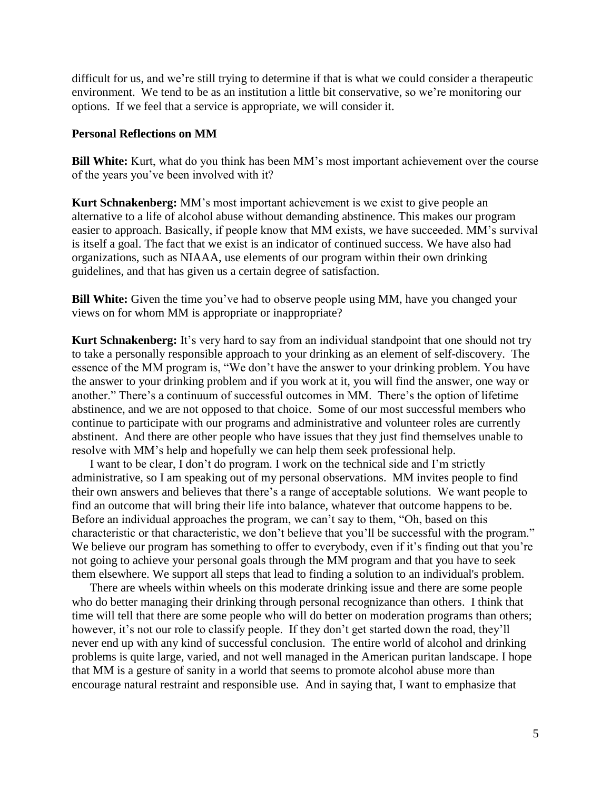difficult for us, and we're still trying to determine if that is what we could consider a therapeutic environment. We tend to be as an institution a little bit conservative, so we're monitoring our options. If we feel that a service is appropriate, we will consider it.

#### **Personal Reflections on MM**

**Bill White:** Kurt, what do you think has been MM's most important achievement over the course of the years you've been involved with it?

**Kurt Schnakenberg:** MM's most important achievement is we exist to give people an alternative to a life of alcohol abuse without demanding abstinence. This makes our program easier to approach. Basically, if people know that MM exists, we have succeeded. MM's survival is itself a goal. The fact that we exist is an indicator of continued success. We have also had organizations, such as NIAAA, use elements of our program within their own drinking guidelines, and that has given us a certain degree of satisfaction.

**Bill White:** Given the time you've had to observe people using MM, have you changed your views on for whom MM is appropriate or inappropriate?

**Kurt Schnakenberg:** It's very hard to say from an individual standpoint that one should not try to take a personally responsible approach to your drinking as an element of self-discovery. The essence of the MM program is, "We don't have the answer to your drinking problem. You have the answer to your drinking problem and if you work at it, you will find the answer, one way or another." There's a continuum of successful outcomes in MM. There's the option of lifetime abstinence, and we are not opposed to that choice. Some of our most successful members who continue to participate with our programs and administrative and volunteer roles are currently abstinent. And there are other people who have issues that they just find themselves unable to resolve with MM's help and hopefully we can help them seek professional help.

 I want to be clear, I don't do program. I work on the technical side and I'm strictly administrative, so I am speaking out of my personal observations. MM invites people to find their own answers and believes that there's a range of acceptable solutions. We want people to find an outcome that will bring their life into balance, whatever that outcome happens to be. Before an individual approaches the program, we can't say to them, "Oh, based on this characteristic or that characteristic, we don't believe that you'll be successful with the program." We believe our program has something to offer to everybody, even if it's finding out that you're not going to achieve your personal goals through the MM program and that you have to seek them elsewhere. We support all steps that lead to finding a solution to an individual's problem.

 There are wheels within wheels on this moderate drinking issue and there are some people who do better managing their drinking through personal recognizance than others. I think that time will tell that there are some people who will do better on moderation programs than others; however, it's not our role to classify people. If they don't get started down the road, they'll never end up with any kind of successful conclusion. The entire world of alcohol and drinking problems is quite large, varied, and not well managed in the American puritan landscape. I hope that MM is a gesture of sanity in a world that seems to promote alcohol abuse more than encourage natural restraint and responsible use. And in saying that, I want to emphasize that